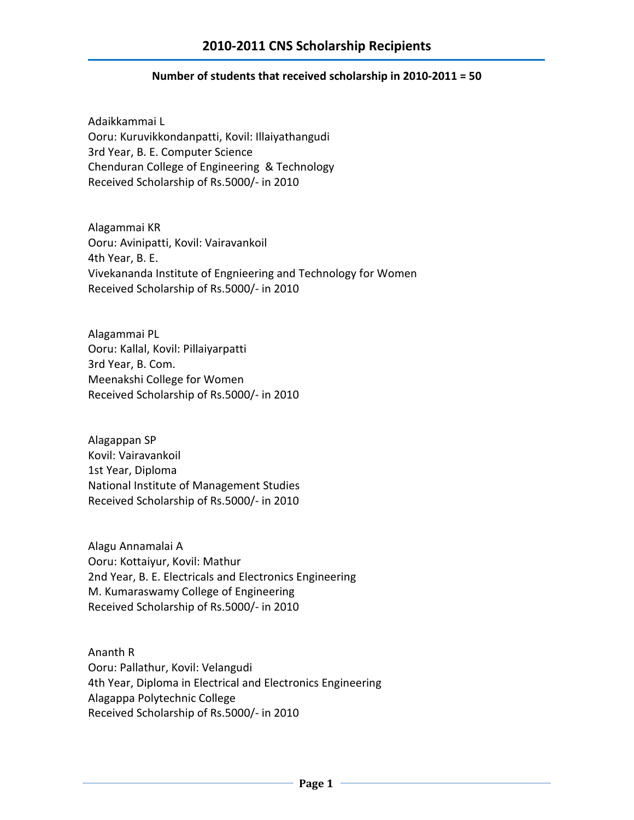## **Number of students that received scholarship in 2010-2011 = 50**

Adaikkammai L Ooru: Kuruvikkondanpatti, Kovil: Illaiyathangudi 3rd Year, B. E. Computer Science Chenduran College of Engineering & Technology Received Scholarship of Rs.5000/- in 2010

Alagammai KR Ooru: Avinipatti, Kovil: Vairavankoil 4th Year, B. E. Vivekananda Institute of Engnieering and Technology for Women Received Scholarship of Rs.5000/- in 2010

Alagammai PL Ooru: Kallal, Kovil: Pillaiyarpatti 3rd Year, B. Com. Meenakshi College for Women Received Scholarship of Rs.5000/- in 2010

Alagappan SP Kovil: Vairavankoil 1st Year, Diploma National Institute of Management Studies Received Scholarship of Rs.5000/- in 2010

Alagu Annamalai A Ooru: Kottaiyur, Kovil: Mathur 2nd Year, B. E. Electricals and Electronics Engineering M. Kumaraswamy College of Engineering Received Scholarship of Rs.5000/- in 2010

Ananth R Ooru: Pallathur, Kovil: Velangudi 4th Year, Diploma in Electrical and Electronics Engineering Alagappa Polytechnic College Received Scholarship of Rs.5000/- in 2010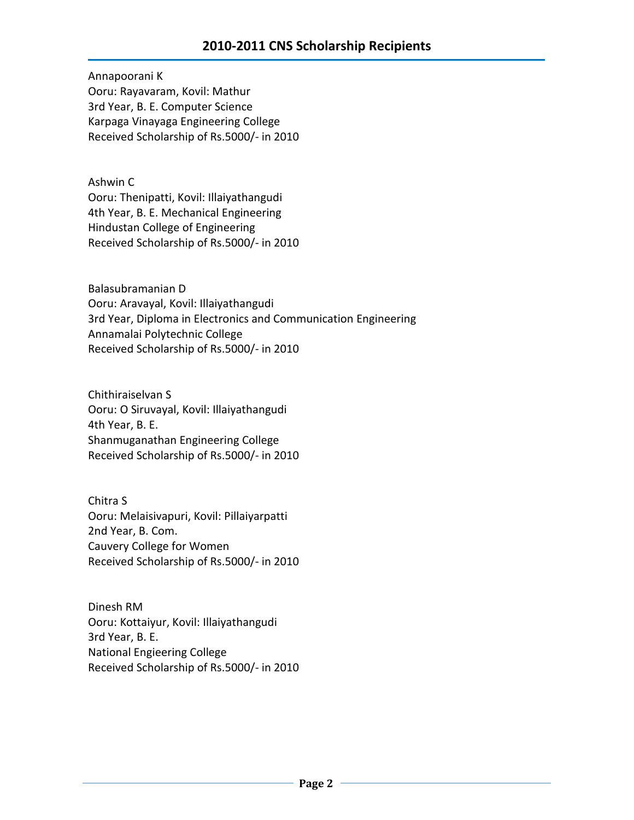Annapoorani K Ooru: Rayavaram, Kovil: Mathur 3rd Year, B. E. Computer Science Karpaga Vinayaga Engineering College Received Scholarship of Rs.5000/- in 2010

Ashwin C Ooru: Thenipatti, Kovil: Illaiyathangudi 4th Year, B. E. Mechanical Engineering Hindustan College of Engineering Received Scholarship of Rs.5000/- in 2010

Balasubramanian D Ooru: Aravayal, Kovil: Illaiyathangudi 3rd Year, Diploma in Electronics and Communication Engineering Annamalai Polytechnic College Received Scholarship of Rs.5000/- in 2010

Chithiraiselvan S Ooru: O Siruvayal, Kovil: Illaiyathangudi 4th Year, B. E. Shanmuganathan Engineering College Received Scholarship of Rs.5000/- in 2010

Chitra S Ooru: Melaisivapuri, Kovil: Pillaiyarpatti 2nd Year, B. Com. Cauvery College for Women Received Scholarship of Rs.5000/- in 2010

Dinesh RM Ooru: Kottaiyur, Kovil: Illaiyathangudi 3rd Year, B. E. National Engieering College Received Scholarship of Rs.5000/- in 2010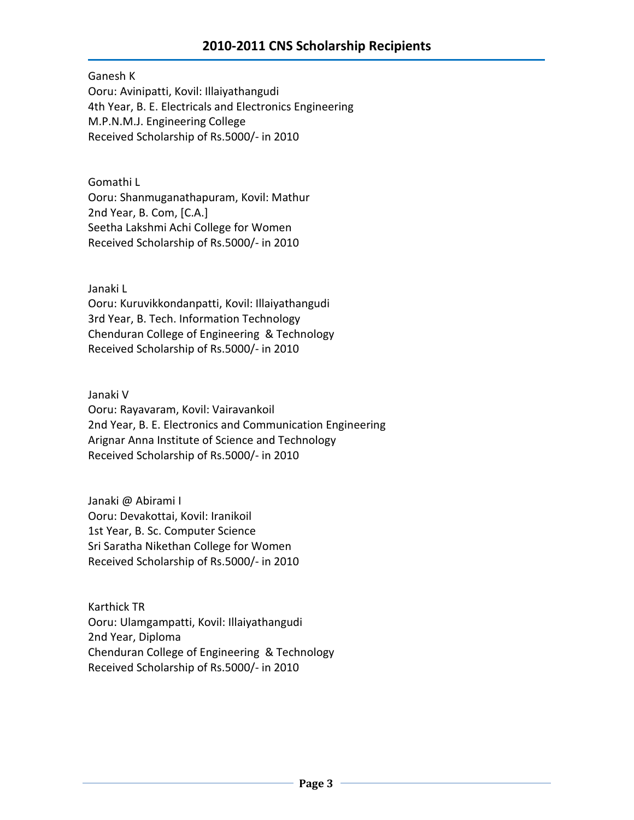Ganesh K Ooru: Avinipatti, Kovil: Illaiyathangudi 4th Year, B. E. Electricals and Electronics Engineering M.P.N.M.J. Engineering College Received Scholarship of Rs.5000/- in 2010

Gomathi L Ooru: Shanmuganathapuram, Kovil: Mathur 2nd Year, B. Com, [C.A.] Seetha Lakshmi Achi College for Women Received Scholarship of Rs.5000/- in 2010

Janaki L

Ooru: Kuruvikkondanpatti, Kovil: Illaiyathangudi 3rd Year, B. Tech. Information Technology Chenduran College of Engineering & Technology Received Scholarship of Rs.5000/- in 2010

Janaki V Ooru: Rayavaram, Kovil: Vairavankoil 2nd Year, B. E. Electronics and Communication Engineering Arignar Anna Institute of Science and Technology Received Scholarship of Rs.5000/- in 2010

Janaki @ Abirami I Ooru: Devakottai, Kovil: Iranikoil 1st Year, B. Sc. Computer Science Sri Saratha Nikethan College for Women Received Scholarship of Rs.5000/- in 2010

Karthick TR Ooru: Ulamgampatti, Kovil: Illaiyathangudi 2nd Year, Diploma Chenduran College of Engineering & Technology Received Scholarship of Rs.5000/- in 2010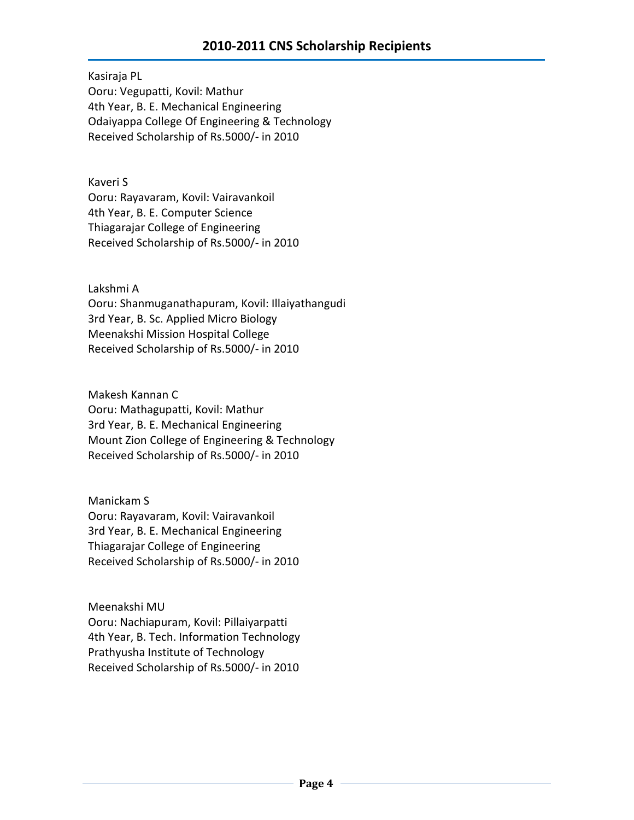Kasiraja PL Ooru: Vegupatti, Kovil: Mathur 4th Year, B. E. Mechanical Engineering Odaiyappa College Of Engineering & Technology Received Scholarship of Rs.5000/- in 2010

Kaveri S Ooru: Rayavaram, Kovil: Vairavankoil 4th Year, B. E. Computer Science Thiagarajar College of Engineering Received Scholarship of Rs.5000/- in 2010

Lakshmi A

Ooru: Shanmuganathapuram, Kovil: Illaiyathangudi 3rd Year, B. Sc. Applied Micro Biology Meenakshi Mission Hospital College Received Scholarship of Rs.5000/- in 2010

Makesh Kannan C Ooru: Mathagupatti, Kovil: Mathur 3rd Year, B. E. Mechanical Engineering Mount Zion College of Engineering & Technology Received Scholarship of Rs.5000/- in 2010

Manickam S Ooru: Rayavaram, Kovil: Vairavankoil 3rd Year, B. E. Mechanical Engineering Thiagarajar College of Engineering Received Scholarship of Rs.5000/- in 2010

Meenakshi MU Ooru: Nachiapuram, Kovil: Pillaiyarpatti 4th Year, B. Tech. Information Technology Prathyusha Institute of Technology Received Scholarship of Rs.5000/- in 2010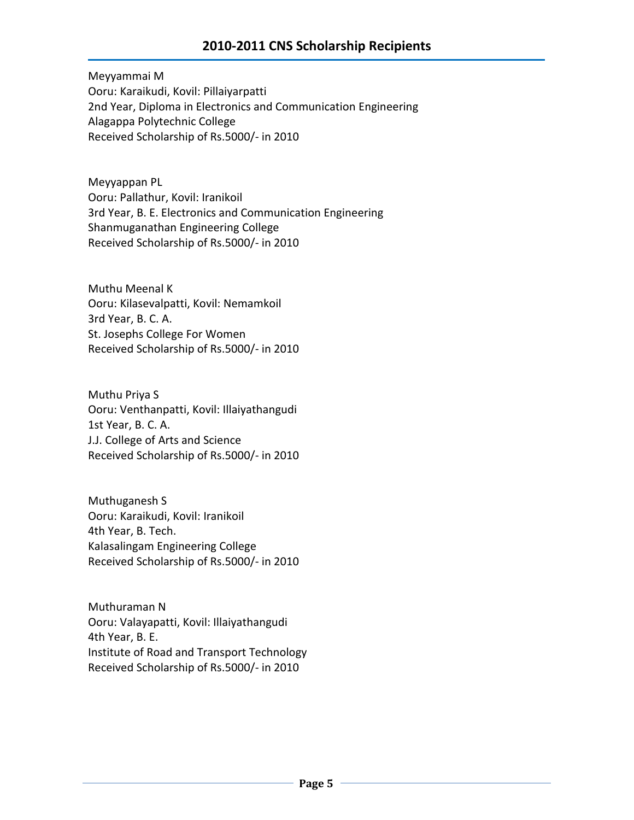Meyyammai M Ooru: Karaikudi, Kovil: Pillaiyarpatti 2nd Year, Diploma in Electronics and Communication Engineering Alagappa Polytechnic College Received Scholarship of Rs.5000/- in 2010

Meyyappan PL Ooru: Pallathur, Kovil: Iranikoil 3rd Year, B. E. Electronics and Communication Engineering Shanmuganathan Engineering College Received Scholarship of Rs.5000/- in 2010

Muthu Meenal K Ooru: Kilasevalpatti, Kovil: Nemamkoil 3rd Year, B. C. A. St. Josephs College For Women Received Scholarship of Rs.5000/- in 2010

Muthu Priya S Ooru: Venthanpatti, Kovil: Illaiyathangudi 1st Year, B. C. A. J.J. College of Arts and Science Received Scholarship of Rs.5000/- in 2010

Muthuganesh S Ooru: Karaikudi, Kovil: Iranikoil 4th Year, B. Tech. Kalasalingam Engineering College Received Scholarship of Rs.5000/- in 2010

Muthuraman N Ooru: Valayapatti, Kovil: Illaiyathangudi 4th Year, B. E. Institute of Road and Transport Technology Received Scholarship of Rs.5000/- in 2010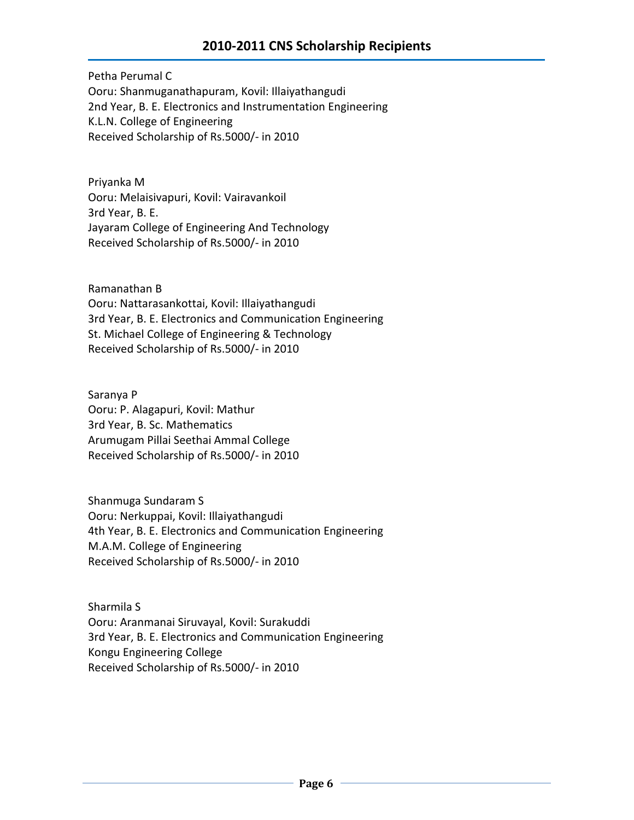Petha Perumal C Ooru: Shanmuganathapuram, Kovil: Illaiyathangudi 2nd Year, B. E. Electronics and Instrumentation Engineering K.L.N. College of Engineering Received Scholarship of Rs.5000/- in 2010

Priyanka M Ooru: Melaisivapuri, Kovil: Vairavankoil 3rd Year, B. E. Jayaram College of Engineering And Technology Received Scholarship of Rs.5000/- in 2010

Ramanathan B Ooru: Nattarasankottai, Kovil: Illaiyathangudi 3rd Year, B. E. Electronics and Communication Engineering St. Michael College of Engineering & Technology Received Scholarship of Rs.5000/- in 2010

Saranya P Ooru: P. Alagapuri, Kovil: Mathur 3rd Year, B. Sc. Mathematics Arumugam Pillai Seethai Ammal College Received Scholarship of Rs.5000/- in 2010

Shanmuga Sundaram S Ooru: Nerkuppai, Kovil: Illaiyathangudi 4th Year, B. E. Electronics and Communication Engineering M.A.M. College of Engineering Received Scholarship of Rs.5000/- in 2010

Sharmila S Ooru: Aranmanai Siruvayal, Kovil: Surakuddi 3rd Year, B. E. Electronics and Communication Engineering Kongu Engineering College Received Scholarship of Rs.5000/- in 2010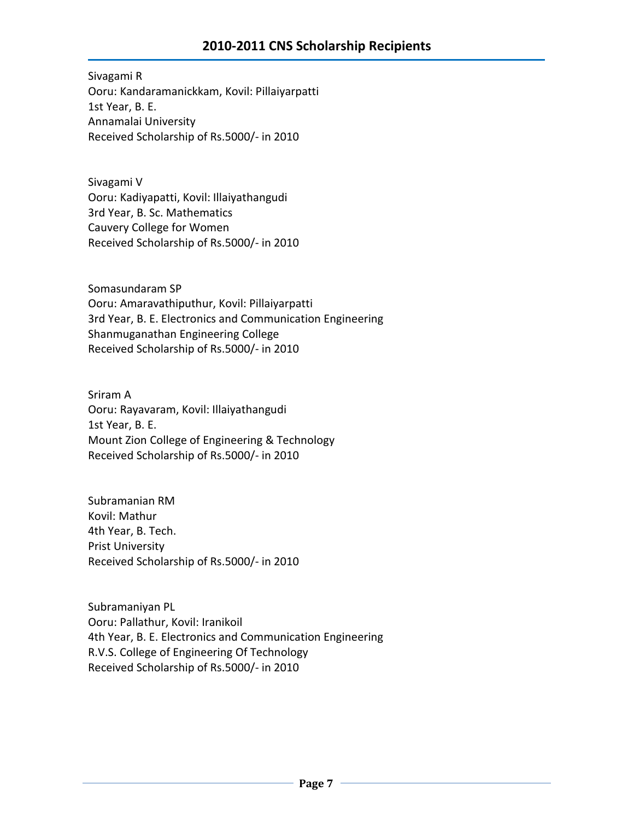Sivagami R Ooru: Kandaramanickkam, Kovil: Pillaiyarpatti 1st Year, B. E. Annamalai University Received Scholarship of Rs.5000/- in 2010

Sivagami V Ooru: Kadiyapatti, Kovil: Illaiyathangudi 3rd Year, B. Sc. Mathematics Cauvery College for Women Received Scholarship of Rs.5000/- in 2010

Somasundaram SP Ooru: Amaravathiputhur, Kovil: Pillaiyarpatti 3rd Year, B. E. Electronics and Communication Engineering Shanmuganathan Engineering College Received Scholarship of Rs.5000/- in 2010

Sriram A Ooru: Rayavaram, Kovil: Illaiyathangudi 1st Year, B. E. Mount Zion College of Engineering & Technology Received Scholarship of Rs.5000/- in 2010

Subramanian RM Kovil: Mathur 4th Year, B. Tech. Prist University Received Scholarship of Rs.5000/- in 2010

Subramaniyan PL Ooru: Pallathur, Kovil: Iranikoil 4th Year, B. E. Electronics and Communication Engineering R.V.S. College of Engineering Of Technology Received Scholarship of Rs.5000/- in 2010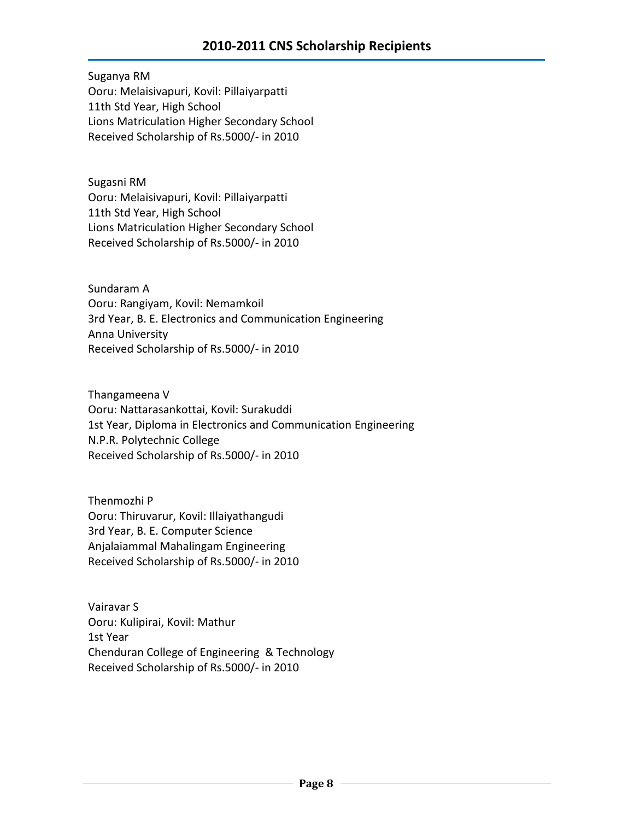Suganya RM Ooru: Melaisivapuri, Kovil: Pillaiyarpatti 11th Std Year, High School Lions Matriculation Higher Secondary School Received Scholarship of Rs.5000/- in 2010

Sugasni RM Ooru: Melaisivapuri, Kovil: Pillaiyarpatti 11th Std Year, High School Lions Matriculation Higher Secondary School Received Scholarship of Rs.5000/- in 2010

Sundaram A Ooru: Rangiyam, Kovil: Nemamkoil 3rd Year, B. E. Electronics and Communication Engineering Anna University Received Scholarship of Rs.5000/- in 2010

Thangameena V Ooru: Nattarasankottai, Kovil: Surakuddi 1st Year, Diploma in Electronics and Communication Engineering N.P.R. Polytechnic College Received Scholarship of Rs.5000/- in 2010

Thenmozhi P Ooru: Thiruvarur, Kovil: Illaiyathangudi 3rd Year, B. E. Computer Science Anjalaiammal Mahalingam Engineering Received Scholarship of Rs.5000/- in 2010

Vairavar S Ooru: Kulipirai, Kovil: Mathur 1st Year Chenduran College of Engineering & Technology Received Scholarship of Rs.5000/- in 2010